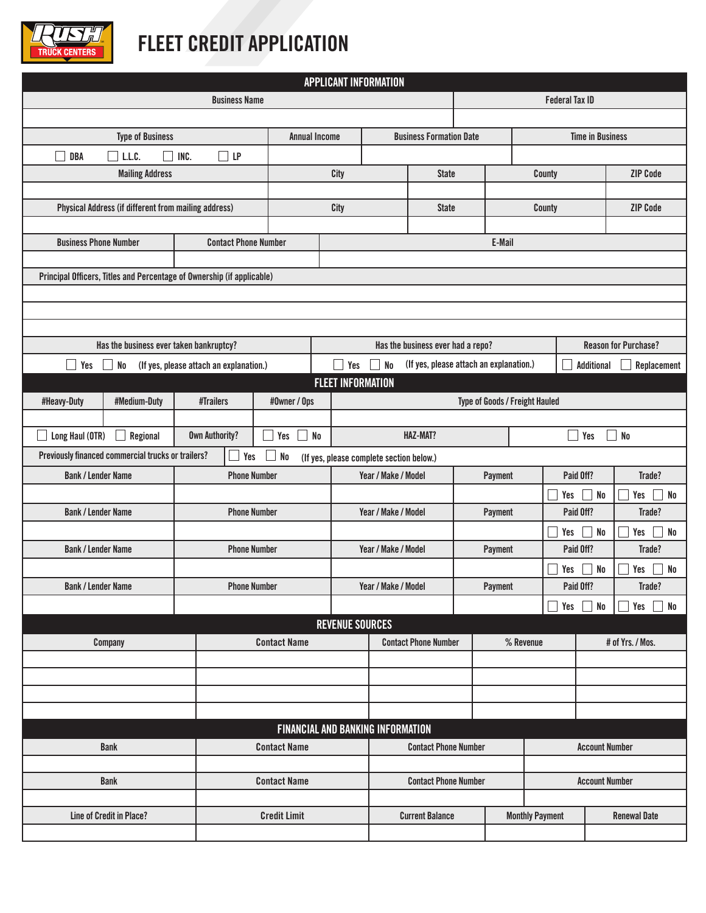

## **FLEET CREDIT APPLICATION**

| <b>APPLICANT INFORMATION</b>                                                                                   |                                                             |                             |                       |                                |                                          |                                   |                             |                         |                      |                       |                                               |    |                       |  |  |  |
|----------------------------------------------------------------------------------------------------------------|-------------------------------------------------------------|-----------------------------|-----------------------|--------------------------------|------------------------------------------|-----------------------------------|-----------------------------|-------------------------|----------------------|-----------------------|-----------------------------------------------|----|-----------------------|--|--|--|
| <b>Business Name</b>                                                                                           |                                                             |                             |                       |                                |                                          |                                   |                             |                         |                      |                       |                                               |    | <b>Federal Tax ID</b> |  |  |  |
|                                                                                                                |                                                             |                             |                       |                                |                                          |                                   |                             |                         |                      |                       |                                               |    |                       |  |  |  |
|                                                                                                                |                                                             | <b>Annual Income</b>        |                       | <b>Business Formation Date</b> |                                          |                                   |                             | <b>Time in Business</b> |                      |                       |                                               |    |                       |  |  |  |
| <b>DBA</b>                                                                                                     | INC.<br>LP<br>L.L.C.<br>H                                   |                             |                       |                                |                                          |                                   |                             |                         |                      |                       |                                               |    |                       |  |  |  |
| <b>Mailing Address</b>                                                                                         |                                                             |                             |                       |                                | City                                     |                                   | <b>State</b>                |                         |                      | County                |                                               |    | <b>ZIP Code</b>       |  |  |  |
|                                                                                                                |                                                             |                             |                       |                                |                                          |                                   |                             |                         |                      |                       |                                               |    |                       |  |  |  |
|                                                                                                                | <b>Physical Address (if different from mailing address)</b> |                             |                       |                                | City                                     |                                   | <b>State</b>                |                         |                      | County                |                                               |    | <b>ZIP Code</b>       |  |  |  |
|                                                                                                                |                                                             |                             |                       |                                |                                          |                                   |                             |                         |                      |                       |                                               |    |                       |  |  |  |
| <b>Business Phone Number</b>                                                                                   |                                                             | <b>Contact Phone Number</b> |                       |                                | E-Mail                                   |                                   |                             |                         |                      |                       |                                               |    |                       |  |  |  |
|                                                                                                                |                                                             |                             |                       |                                |                                          |                                   |                             |                         |                      |                       |                                               |    |                       |  |  |  |
| Principal Officers, Titles and Percentage of Ownership (if applicable)                                         |                                                             |                             |                       |                                |                                          |                                   |                             |                         |                      |                       |                                               |    |                       |  |  |  |
|                                                                                                                |                                                             |                             |                       |                                |                                          |                                   |                             |                         |                      |                       |                                               |    |                       |  |  |  |
|                                                                                                                |                                                             |                             |                       |                                |                                          |                                   |                             |                         |                      |                       |                                               |    |                       |  |  |  |
| Has the business ever taken bankruptcy?                                                                        |                                                             |                             |                       |                                |                                          | Has the business ever had a repo? |                             |                         |                      |                       | <b>Reason for Purchase?</b>                   |    |                       |  |  |  |
| Yes                                                                                                            | No                                                          |                             |                       |                                | Yes                                      | No                                |                             |                         |                      |                       | Additional<br>Replacement                     |    |                       |  |  |  |
| (If yes, please attach an explanation.)<br>(If yes, please attach an explanation.)<br><b>FLEET INFORMATION</b> |                                                             |                             |                       |                                |                                          |                                   |                             |                         |                      |                       |                                               |    |                       |  |  |  |
| #Heavy-Duty                                                                                                    | #Medium-Duty                                                |                             | #Trailers             | #Owner / Ops                   |                                          | Type of Goods / Freight Hauled    |                             |                         |                      |                       |                                               |    |                       |  |  |  |
|                                                                                                                |                                                             |                             |                       |                                |                                          |                                   |                             |                         |                      |                       |                                               |    |                       |  |  |  |
| Long Haul (OTR)                                                                                                | Regional                                                    |                             | <b>Own Authority?</b> | Yes                            | N <sub>0</sub><br><b>HAZ-MAT?</b>        |                                   |                             |                         |                      |                       | N <sub>0</sub><br>Yes                         |    |                       |  |  |  |
| Previously financed commercial trucks or trailers?                                                             |                                                             |                             | Yes                   | <b>No</b>                      | (If yes, please complete section below.) |                                   |                             |                         |                      |                       |                                               |    |                       |  |  |  |
| <b>Bank / Lender Name</b>                                                                                      |                                                             |                             | <b>Phone Number</b>   |                                |                                          | Year / Make / Model               |                             |                         | Paid Off?<br>Payment |                       |                                               |    | Trade?                |  |  |  |
|                                                                                                                |                                                             |                             |                       |                                |                                          |                                   |                             |                         |                      |                       | No<br>Yes                                     |    | No<br>Yes             |  |  |  |
| <b>Bank / Lender Name</b>                                                                                      |                                                             |                             | <b>Phone Number</b>   |                                |                                          | Year / Make / Model               |                             |                         | Payment              |                       | Paid Off?                                     |    | Trade?                |  |  |  |
|                                                                                                                |                                                             |                             |                       |                                |                                          |                                   |                             |                         |                      |                       | Yes<br>No                                     |    | ${\sf No}$<br>Yes     |  |  |  |
| <b>Bank / Lender Name</b>                                                                                      |                                                             |                             | <b>Phone Number</b>   |                                |                                          | Year / Make / Model               |                             |                         | Payment              |                       | Paid Off?                                     |    | Trade?                |  |  |  |
|                                                                                                                |                                                             |                             |                       |                                |                                          |                                   |                             |                         |                      |                       | No<br>Yes                                     |    | ${\sf No}$<br>Yes     |  |  |  |
| <b>Bank / Lender Name</b>                                                                                      |                                                             |                             |                       | <b>Phone Number</b>            |                                          | Year / Make / Model               |                             |                         | Payment              |                       | Paid Off?                                     |    | Trade?                |  |  |  |
|                                                                                                                |                                                             |                             |                       |                                |                                          |                                   |                             |                         |                      |                       | Yes                                           | No | No<br>Yes             |  |  |  |
|                                                                                                                |                                                             |                             |                       |                                | <b>REVENUE SOURCES</b>                   |                                   |                             |                         |                      |                       |                                               |    |                       |  |  |  |
| Company                                                                                                        |                                                             |                             |                       | <b>Contact Name</b>            |                                          |                                   | <b>Contact Phone Number</b> |                         |                      | % Revenue             |                                               |    | # of Yrs. / Mos.      |  |  |  |
|                                                                                                                |                                                             |                             |                       |                                |                                          |                                   |                             |                         |                      |                       |                                               |    |                       |  |  |  |
|                                                                                                                |                                                             |                             |                       |                                |                                          |                                   |                             |                         |                      |                       |                                               |    |                       |  |  |  |
|                                                                                                                |                                                             |                             |                       |                                |                                          |                                   |                             |                         |                      |                       |                                               |    |                       |  |  |  |
|                                                                                                                |                                                             |                             |                       |                                |                                          |                                   |                             |                         |                      |                       |                                               |    |                       |  |  |  |
|                                                                                                                |                                                             |                             |                       |                                | <b>FINANCIAL AND BANKING INFORMATION</b> |                                   |                             |                         |                      |                       |                                               |    |                       |  |  |  |
| <b>Bank</b>                                                                                                    |                                                             |                             |                       | <b>Contact Name</b>            |                                          | <b>Contact Phone Number</b>       |                             |                         |                      |                       | <b>Account Number</b>                         |    |                       |  |  |  |
|                                                                                                                |                                                             |                             |                       |                                |                                          |                                   |                             |                         |                      |                       |                                               |    |                       |  |  |  |
| <b>Bank</b>                                                                                                    |                                                             |                             | <b>Contact Name</b>   |                                |                                          | <b>Contact Phone Number</b>       |                             |                         |                      | <b>Account Number</b> |                                               |    |                       |  |  |  |
|                                                                                                                |                                                             |                             |                       |                                |                                          |                                   |                             |                         |                      |                       |                                               |    |                       |  |  |  |
| Line of Credit in Place?                                                                                       |                                                             |                             | <b>Credit Limit</b>   |                                |                                          |                                   | <b>Current Balance</b>      |                         |                      |                       | <b>Monthly Payment</b><br><b>Renewal Date</b> |    |                       |  |  |  |
|                                                                                                                |                                                             |                             |                       |                                |                                          |                                   |                             |                         |                      |                       |                                               |    |                       |  |  |  |